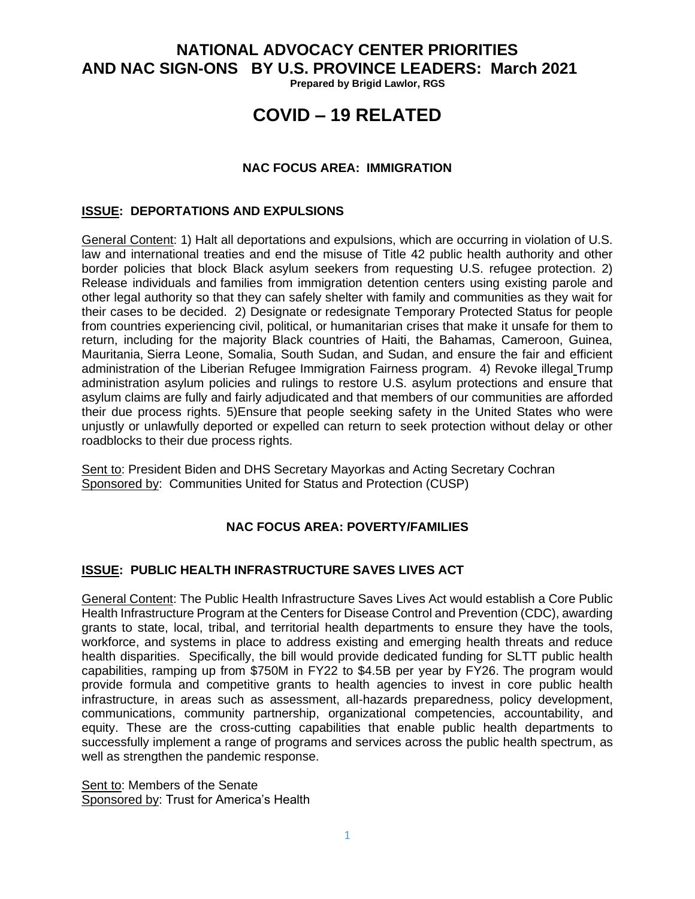**NATIONAL ADVOCACY CENTER PRIORITIES AND NAC SIGN-ONS BY U.S. PROVINCE LEADERS: March 2021**

**Prepared by Brigid Lawlor, RGS**

# **COVID – 19 RELATED**

#### **NAC FOCUS AREA: IMMIGRATION**

#### **ISSUE: DEPORTATIONS AND EXPULSIONS**

General Content: 1) Halt all deportations and expulsions, which are occurring in violation of U.S. law and international treaties and end the misuse of Title 42 public health authority and other border policies that block Black asylum seekers from requesting U.S. refugee protection. 2) Release individuals and families from immigration detention centers using existing parole and other legal authority so that they can safely shelter with family and communities as they wait for their cases to be decided. 2) Designate or redesignate Temporary Protected Status for people from countries experiencing civil, political, or humanitarian crises that make it unsafe for them to return, including for the majority Black countries of Haiti, the Bahamas, Cameroon, Guinea, Mauritania, Sierra Leone, Somalia, South Sudan, and Sudan, and ensure the fair and efficient administration of the Liberian Refugee Immigration Fairness program. 4) Revoke illegal Trump administration asylum policies and rulings to restore U.S. asylum protections and ensure that asylum claims are fully and fairly adjudicated and that members of our communities are afforded their due process rights. 5)Ensure that people seeking safety in the United States who were unjustly or unlawfully deported or expelled can return to seek protection without delay or other roadblocks to their due process rights.

Sent to: President Biden and DHS Secretary Mayorkas and Acting Secretary Cochran Sponsored by: Communities United for Status and Protection (CUSP)

#### **NAC FOCUS AREA: POVERTY/FAMILIES**

#### **ISSUE: PUBLIC HEALTH INFRASTRUCTURE SAVES LIVES ACT**

General Content: The Public Health Infrastructure Saves Lives Act would establish a Core Public Health Infrastructure Program at the Centers for Disease Control and Prevention (CDC), awarding grants to state, local, tribal, and territorial health departments to ensure they have the tools, workforce, and systems in place to address existing and emerging health threats and reduce health disparities. Specifically, the bill would provide dedicated funding for SLTT public health capabilities, ramping up from \$750M in FY22 to \$4.5B per year by FY26. The program would provide formula and competitive grants to health agencies to invest in core public health infrastructure, in areas such as assessment, all-hazards preparedness, policy development, communications, community partnership, organizational competencies, accountability, and equity. These are the cross-cutting capabilities that enable public health departments to successfully implement a range of programs and services across the public health spectrum, as well as strengthen the pandemic response.

Sent to: Members of the Senate Sponsored by: Trust for America's Health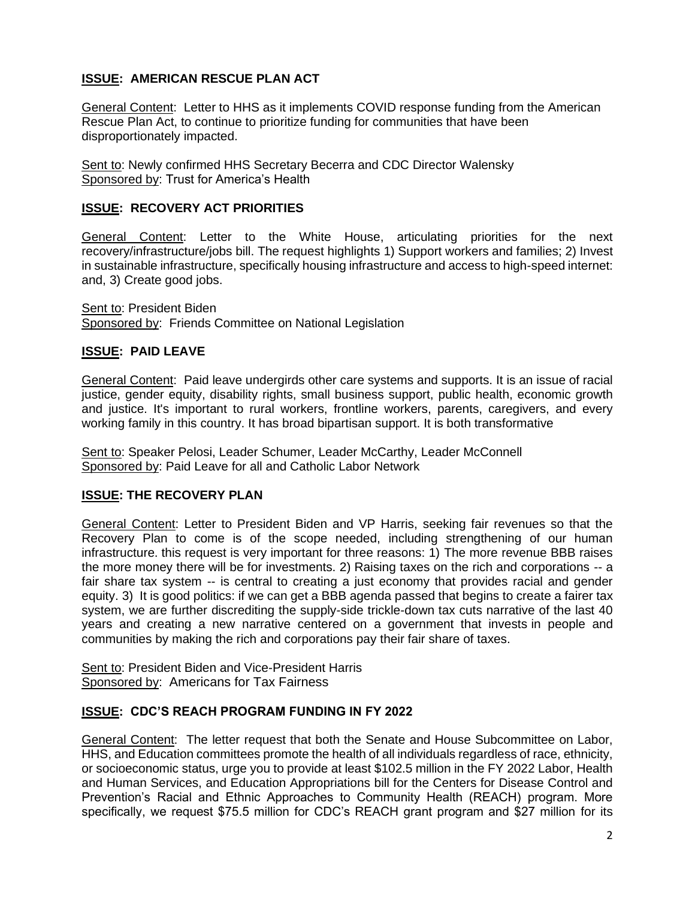## **ISSUE: AMERICAN RESCUE PLAN ACT**

General Content: Letter to HHS as it implements COVID response funding from the American Rescue Plan Act, to continue to prioritize funding for communities that have been disproportionately impacted.

Sent to: Newly confirmed HHS Secretary Becerra and CDC Director Walensky Sponsored by: Trust for America's Health

#### **ISSUE: RECOVERY ACT PRIORITIES**

General Content: Letter to the White House, articulating priorities for the next recovery/infrastructure/jobs bill. The request highlights 1) Support workers and families; 2) Invest in sustainable infrastructure, specifically housing infrastructure and access to high-speed internet: and, 3) Create good jobs.

Sent to: President Biden Sponsored by: Friends Committee on National Legislation

#### **ISSUE: PAID LEAVE**

General Content: Paid leave undergirds other care systems and supports. It is an issue of racial justice, gender equity, disability rights, small business support, public health, economic growth and justice. It's important to rural workers, frontline workers, parents, caregivers, and every working family in this country. It has broad bipartisan support. It is both transformative

Sent to: Speaker Pelosi, Leader Schumer, Leader McCarthy, Leader McConnell Sponsored by: Paid Leave for all and Catholic Labor Network

#### **ISSUE: THE RECOVERY PLAN**

General Content: Letter to President Biden and VP Harris, seeking fair revenues so that the Recovery Plan to come is of the scope needed, including strengthening of our human infrastructure. this request is very important for three reasons: 1) The more revenue BBB raises the more money there will be for investments. 2) Raising taxes on the rich and corporations -- a fair share tax system -- is central to creating a just economy that provides racial and gender equity. 3) It is good politics: if we can get a BBB agenda passed that begins to create a fairer tax system, we are further discrediting the supply-side trickle-down tax cuts narrative of the last 40 years and creating a new narrative centered on a government that invests in people and communities by making the rich and corporations pay their fair share of taxes.

Sent to: President Biden and Vice-President Harris Sponsored by: Americans for Tax Fairness

#### **ISSUE: CDC'S REACH PROGRAM FUNDING IN FY 2022**

General Content: The letter request that both the Senate and House Subcommittee on Labor, HHS, and Education committees promote the health of all individuals regardless of race, ethnicity, or socioeconomic status, urge you to provide at least \$102.5 million in the FY 2022 Labor, Health and Human Services, and Education Appropriations bill for the Centers for Disease Control and Prevention's Racial and Ethnic Approaches to Community Health (REACH) program. More specifically, we request \$75.5 million for CDC's REACH grant program and \$27 million for its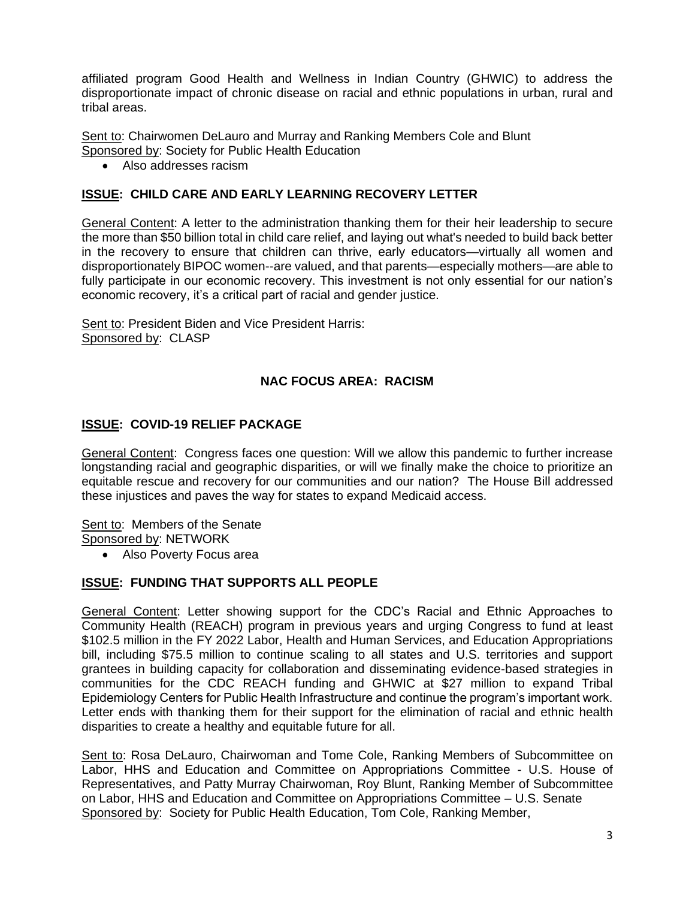affiliated program Good Health and Wellness in Indian Country (GHWIC) to address the disproportionate impact of chronic disease on racial and ethnic populations in urban, rural and tribal areas.

Sent to: Chairwomen DeLauro and Murray and Ranking Members Cole and Blunt Sponsored by: Society for Public Health Education

• Also addresses racism

## **ISSUE: CHILD CARE AND EARLY LEARNING RECOVERY LETTER**

General Content: A letter to the administration thanking them for their heir leadership to secure the more than \$50 billion total in child care relief, and laying out what's needed to build back better in the recovery to ensure that children can thrive, early educators—virtually all women and disproportionately BIPOC women--are valued, and that parents—especially mothers—are able to fully participate in our economic recovery. This investment is not only essential for our nation's economic recovery, it's a critical part of racial and gender justice.

Sent to: President Biden and Vice President Harris: Sponsored by: CLASP

#### **NAC FOCUS AREA: RACISM**

#### **ISSUE: COVID-19 RELIEF PACKAGE**

General Content: Congress faces one question: Will we allow this pandemic to further increase longstanding racial and geographic disparities, or will we finally make the choice to prioritize an equitable rescue and recovery for our communities and our nation? The House Bill addressed these injustices and paves the way for states to expand Medicaid access.

Sent to: Members of the Senate Sponsored by: NETWORK

• Also Poverty Focus area

#### **ISSUE: FUNDING THAT SUPPORTS ALL PEOPLE**

General Content: Letter showing support for the CDC's Racial and Ethnic Approaches to Community Health (REACH) program in previous years and urging Congress to fund at least \$102.5 million in the FY 2022 Labor, Health and Human Services, and Education Appropriations bill, including \$75.5 million to continue scaling to all states and U.S. territories and support grantees in building capacity for collaboration and disseminating evidence-based strategies in communities for the CDC REACH funding and GHWIC at \$27 million to expand Tribal Epidemiology Centers for Public Health Infrastructure and continue the program's important work. Letter ends with thanking them for their support for the elimination of racial and ethnic health disparities to create a healthy and equitable future for all.

Sent to: Rosa DeLauro, Chairwoman and Tome Cole, Ranking Members of Subcommittee on Labor, HHS and Education and Committee on Appropriations Committee - U.S. House of Representatives, and Patty Murray Chairwoman, Roy Blunt, Ranking Member of Subcommittee on Labor, HHS and Education and Committee on Appropriations Committee – U.S. Senate Sponsored by: Society for Public Health Education, Tom Cole, Ranking Member,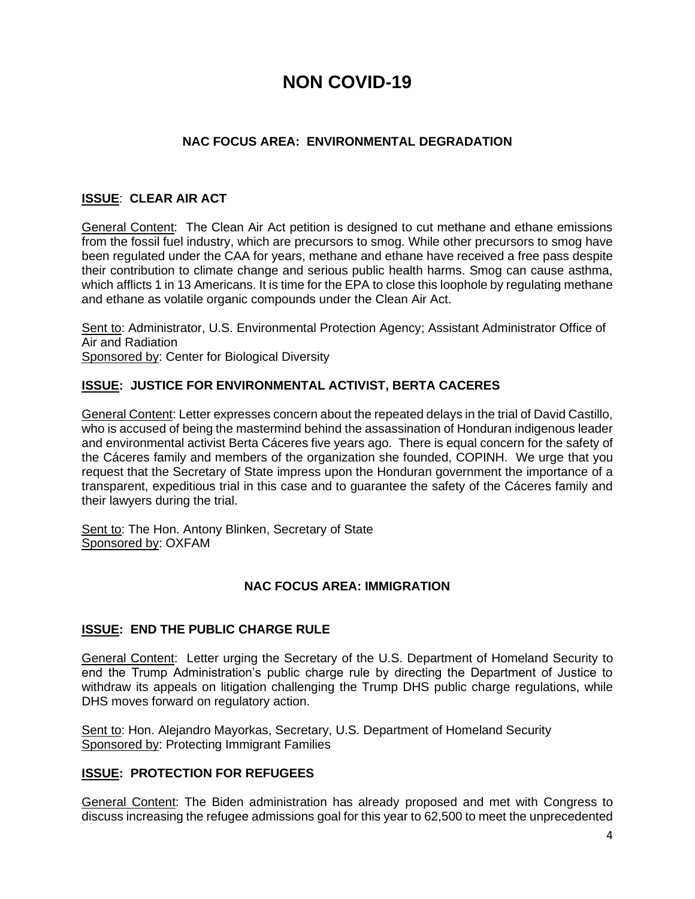# **NON COVID-19**

## **NAC FOCUS AREA: ENVIRONMENTAL DEGRADATION**

## **ISSUE**: **CLEAR AIR ACT**

General Content: The Clean Air Act petition is designed to cut methane and ethane emissions from the fossil fuel industry, which are precursors to smog. While other precursors to smog have been regulated under the CAA for years, methane and ethane have received a free pass despite their contribution to climate change and serious public health harms. Smog can cause asthma, which afflicts 1 in 13 Americans. It is time for the EPA to close this loophole by regulating methane and ethane as volatile organic compounds under the Clean Air Act.

Sent to: Administrator, U.S. Environmental Protection Agency; Assistant Administrator Office of Air and Radiation Sponsored by: Center for [Biological Diversity](https://nam02.safelinks.protection.outlook.com/?url=http%3A%2F%2Fwww.biologicaldiversity.org%2F&data=04%7C01%7CDCreamer%40biologicaldiversity.org%7Cf0438d53d0314e2472c208d8d8d677b8%7C95c0c3b8013c435ebeea2c762e78fae0%7C1%7C0%7C637497762957267529%7CUnknown%7CTWFpbGZsb3d8eyJWIjoiMC4wLjAwMDAiLCJQIjoiV2luMzIiLCJBTiI6Ik1haWwiLCJXVCI6Mn0%3D%7C1000&sdata=zee59E5uPnkiIalM3mVbFINiZAdL%2FaUAIiWmj0rga0A%3D&reserved=0)

#### **ISSUE: JUSTICE FOR ENVIRONMENTAL ACTIVIST, BERTA CACERES**

General Content: Letter expresses concern about the repeated delays in the trial of David Castillo, who is accused of being the mastermind behind the assassination of Honduran indigenous leader and environmental activist Berta Cáceres five years ago. There is equal concern for the safety of the Cáceres family and members of the organization she founded, COPINH. We urge that you request that the Secretary of State impress upon the Honduran government the importance of a transparent, expeditious trial in this case and to guarantee the safety of the Cáceres family and their lawyers during the trial.

Sent to: The Hon. Antony Blinken, Secretary of State Sponsored by: OXFAM

#### **NAC FOCUS AREA: IMMIGRATION**

#### **ISSUE: END THE PUBLIC CHARGE RULE**

General Content: Letter urging the Secretary of the U.S. Department of Homeland Security to end the Trump Administration's public charge rule by directing the Department of Justice to withdraw its appeals on litigation challenging the Trump DHS public charge regulations, while DHS moves forward on regulatory action.

Sent to: Hon. Alejandro Mayorkas, Secretary, U.S. Department of Homeland Security Sponsored by: Protecting Immigrant Families

#### **ISSUE: PROTECTION FOR REFUGEES**

General Content: The Biden administration has already proposed and met with Congress to discuss increasing the refugee admissions goal for this year to 62,500 to meet the unprecedented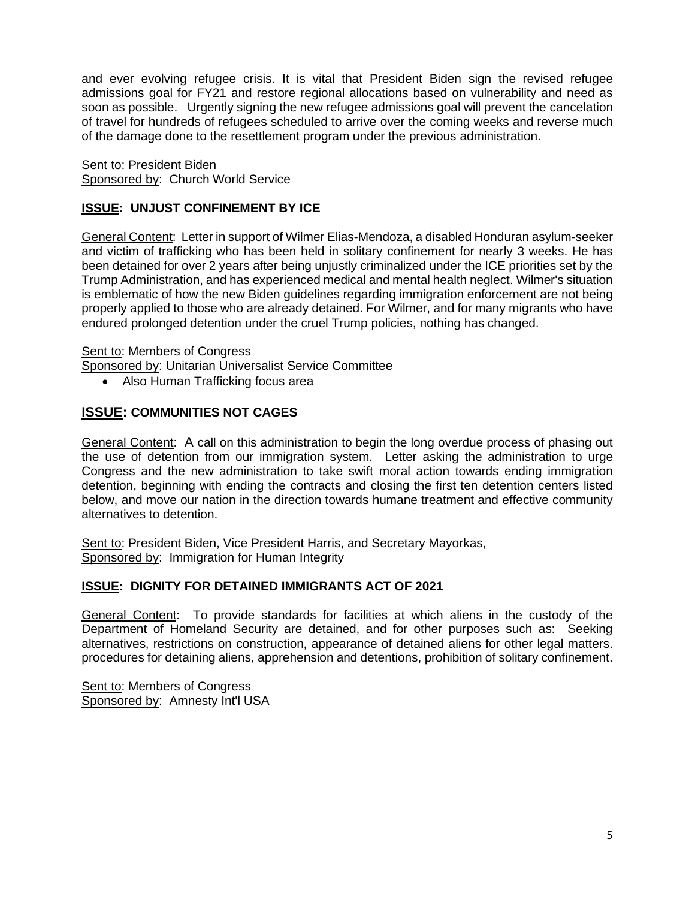and ever evolving refugee crisis. It is vital that President Biden sign the revised refugee admissions goal for FY21 and restore regional allocations based on vulnerability and need as soon as possible. Urgently signing the new refugee admissions goal will prevent the cancelation of travel for hundreds of refugees scheduled to arrive over the coming weeks and reverse much of the damage done to the resettlement program under the previous administration.

Sent to: President Biden Sponsored by: Church World Service

## **ISSUE: UNJUST CONFINEMENT BY ICE**

General Content: Letter in support of Wilmer Elias-Mendoza, a disabled Honduran asylum-seeker and victim of trafficking who has been held in solitary confinement for nearly 3 weeks. He has been detained for over 2 years after being unjustly criminalized under the ICE priorities set by the Trump Administration, and has experienced medical and mental health neglect. Wilmer's situation is emblematic of how the new Biden guidelines regarding immigration enforcement are not being properly applied to those who are already detained. For Wilmer, and for many migrants who have endured prolonged detention under the cruel Trump policies, nothing has changed.

#### Sent to: Members of Congress

Sponsored by: Unitarian Universalist Service Committee

• Also Human Trafficking focus area

## **ISSUE: COMMUNITIES NOT CAGES**

General Content: A call on this administration to begin the long overdue process of phasing out the use of detention from our immigration system. Letter asking the administration to urge Congress and the new administration to take swift moral action towards ending immigration detention, beginning with ending the contracts and closing the first ten detention centers listed below, and move our nation in the direction towards humane treatment and effective community alternatives to detention.

Sent to: President Biden, Vice President Harris, and Secretary Mayorkas, Sponsored by: Immigration for Human Integrity

#### **ISSUE: DIGNITY FOR DETAINED IMMIGRANTS ACT OF 2021**

General Content: To provide standards for facilities at which aliens in the custody of the Department of Homeland Security are detained, and for other purposes such as: Seeking alternatives, restrictions on construction, appearance of detained aliens for other legal matters. procedures for detaining aliens, apprehension and detentions, prohibition of solitary confinement.

Sent to: Members of Congress Sponsored by: Amnesty Int'l USA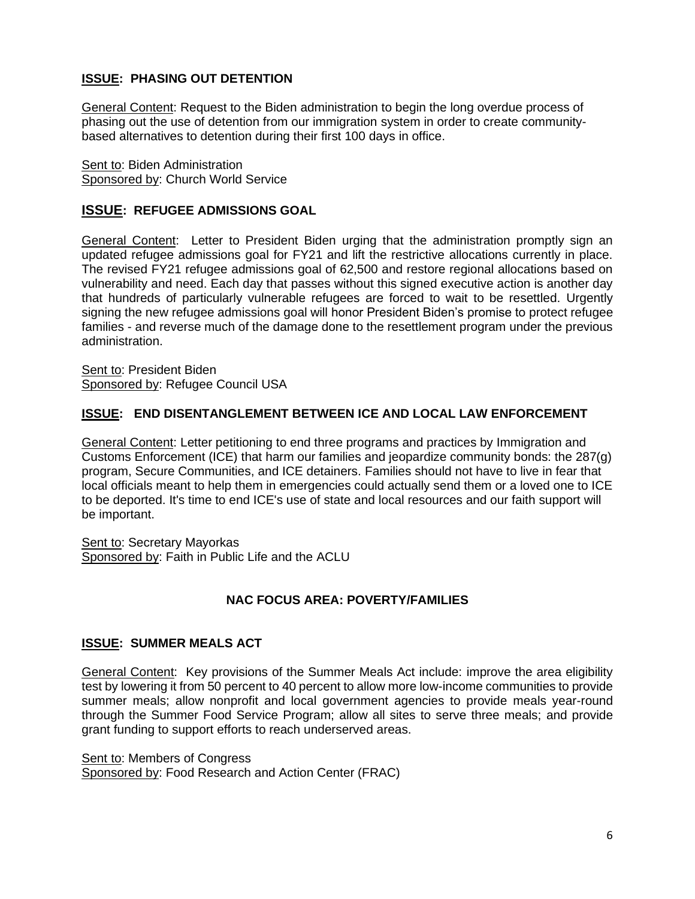## **ISSUE: PHASING OUT DETENTION**

General Content: Request to the Biden administration to begin the long overdue process of phasing out the use of detention from our immigration system in order to create communitybased alternatives to detention during their first 100 days in office.

Sent to: Biden Administration Sponsored by: Church World Service

## **ISSUE: REFUGEE ADMISSIONS GOAL**

General Content: Letter to President Biden urging that the administration promptly sign an updated refugee admissions goal for FY21 and lift the restrictive allocations currently in place. The revised FY21 refugee admissions goal of 62,500 and restore regional allocations based on vulnerability and need. Each day that passes without this signed executive action is another day that hundreds of particularly vulnerable refugees are forced to wait to be resettled. Urgently signing the new refugee admissions goal will honor President Biden's promise to protect refugee families - and reverse much of the damage done to the resettlement program under the previous administration.

Sent to: President Biden Sponsored by: Refugee Council USA

#### **ISSUE: END DISENTANGLEMENT BETWEEN ICE AND LOCAL LAW ENFORCEMENT**

General Content: Letter petitioning to end three programs and practices by Immigration and Customs Enforcement (ICE) that harm our families and jeopardize community bonds: the 287(g) program, Secure Communities, and ICE detainers. Families should not have to live in fear that local officials meant to help them in emergencies could actually send them or a loved one to ICE to be deported. It's time to end ICE's use of state and local resources and our faith support will be important.

Sent to: Secretary Mayorkas Sponsored by: Faith in Public Life and the ACLU

## **NAC FOCUS AREA: POVERTY/FAMILIES**

#### **ISSUE: SUMMER MEALS ACT**

General Content: Key provisions of the Summer Meals Act include: improve the area eligibility test by lowering it from 50 percent to 40 percent to allow more low-income communities to provide summer meals; allow nonprofit and local government agencies to provide meals year-round through the Summer Food Service Program; allow all sites to serve three meals; and provide grant funding to support efforts to reach underserved areas.

Sent to: Members of Congress Sponsored by: Food Research and Action Center (FRAC)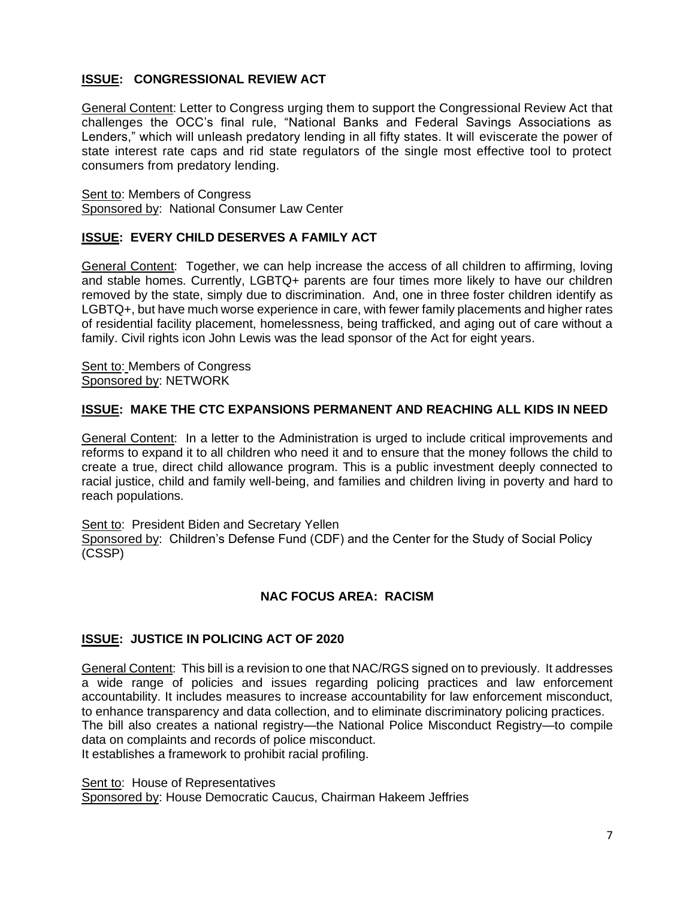## **ISSUE: CONGRESSIONAL REVIEW ACT**

General Content: Letter to Congress urging them to support the Congressional Review Act that challenges the OCC's final rule, "National Banks and Federal Savings Associations as Lenders," which will unleash predatory lending in all fifty states. It will eviscerate the power of state interest rate caps and rid state regulators of the single most effective tool to protect consumers from predatory lending.

Sent to: Members of Congress Sponsored by: National Consumer Law Center

## **ISSUE: EVERY CHILD DESERVES A FAMILY ACT**

General Content: Together, we can help increase the access of all children to affirming, loving and stable homes. Currently, LGBTQ+ parents are four times more likely to have our children removed by the state, simply due to discrimination. And, one in three foster children identify as LGBTQ+, but have much worse experience in care, with fewer family placements and higher rates of residential facility placement, homelessness, being trafficked, and aging out of care without a family. Civil rights icon John Lewis was the lead sponsor of the Act for eight years.

Sent to: Members of Congress Sponsored by: NETWORK

#### **ISSUE: MAKE THE CTC EXPANSIONS PERMANENT AND REACHING ALL KIDS IN NEED**

General Content: In a letter to the Administration is urged to include critical improvements and reforms to expand it to all children who need it and to ensure that the money follows the child to create a true, direct child allowance program. This is a public investment deeply connected to racial justice, child and family well-being, and families and children living in poverty and hard to reach populations.

Sent to: President Biden and Secretary Yellen Sponsored by: Children's Defense Fund (CDF) and the Center for the Study of Social Policy (CSSP)

#### **NAC FOCUS AREA: RACISM**

#### **ISSUE: JUSTICE IN POLICING ACT OF 2020**

General Content: This bill is a revision to one that NAC/RGS signed on to previously. It addresses a wide range of policies and issues regarding policing practices and law enforcement accountability. It includes measures to increase accountability for law enforcement misconduct, to enhance transparency and data collection, and to eliminate discriminatory policing practices. The bill also creates a national registry—the National Police Misconduct Registry—to compile data on complaints and records of police misconduct.

It establishes a framework to prohibit racial profiling.

Sent to: House of Representatives

Sponsored by: House Democratic Caucus, Chairman Hakeem Jeffries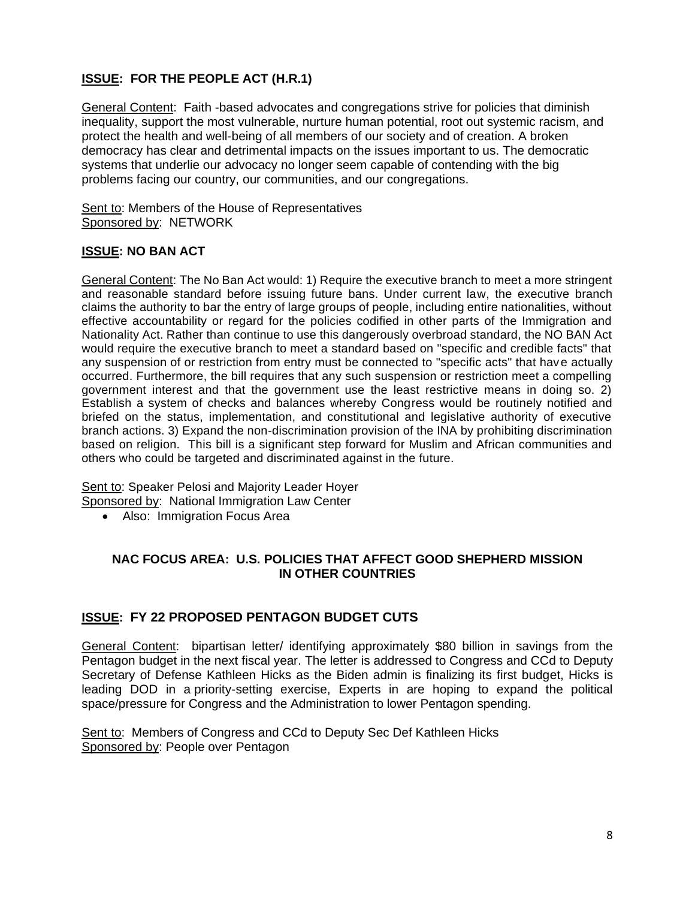## **ISSUE: FOR THE PEOPLE ACT (H.R.1)**

General Content: Faith -based advocates and congregations strive for policies that diminish inequality, support the most vulnerable, nurture human potential, root out systemic racism, and protect the health and well-being of all members of our society and of creation. A broken democracy has clear and detrimental impacts on the issues important to us. The democratic systems that underlie our advocacy no longer seem capable of contending with the big problems facing our country, our communities, and our congregations.

Sent to: Members of the House of Representatives Sponsored by: NETWORK

## **ISSUE: NO BAN ACT**

General Content: The No Ban Act would: 1) Require the executive branch to meet a more stringent and reasonable standard before issuing future bans. Under current law, the executive branch claims the authority to bar the entry of large groups of people, including entire nationalities, without effective accountability or regard for the policies codified in other parts of the Immigration and Nationality Act. Rather than continue to use this dangerously overbroad standard, the NO BAN Act would require the executive branch to meet a standard based on "specific and credible facts" that any suspension of or restriction from entry must be connected to "specific acts" that have actually occurred. Furthermore, the bill requires that any such suspension or restriction meet a compelling government interest and that the government use the least restrictive means in doing so. 2) Establish a system of checks and balances whereby Congress would be routinely notified and briefed on the status, implementation, and constitutional and legislative authority of executive branch actions. 3) Expand the non-discrimination provision of the INA by prohibiting discrimination based on religion. This bill is a significant step forward for Muslim and African communities and others who could be targeted and discriminated against in the future.

Sent to: Speaker Pelosi and Majority Leader Hoyer Sponsored by: National Immigration Law Center

• Also: Immigration Focus Area

#### **NAC FOCUS AREA: U.S. POLICIES THAT AFFECT GOOD SHEPHERD MISSION IN OTHER COUNTRIES**

#### **ISSUE: FY 22 PROPOSED PENTAGON BUDGET CUTS**

General Content: bipartisan letter/ identifying approximately \$80 billion in savings from the Pentagon budget in the next fiscal year. The letter is addressed to Congress and CCd to Deputy Secretary of Defense Kathleen Hicks as the Biden admin is finalizing its first budget, Hicks is leading DOD in a [priority-setting exercise,](https://linkprotect.cudasvc.com/url?a=https%3a%2f%2fbreakingdefense.com%2f2021%2f02%2fexclusive-hicks-memo-sets-2022-budget-priorities%2f&c=E,1,wjL8o1fX7JVI5rU22B5RC-E2AbBHwN1xZASYwtgxaE61x0sykBfWpovogK1ipUptcPIz0p1hqkicNDL4xk3pU0rmCNqeCBu6ZwM8gk_dJTmoEJbTCn7E&typo=1) Experts in are hoping to expand the political space/pressure for Congress and the Administration to lower Pentagon spending.

Sent to: Members of Congress and CCd to Deputy Sec Def Kathleen Hicks Sponsored by: People over Pentagon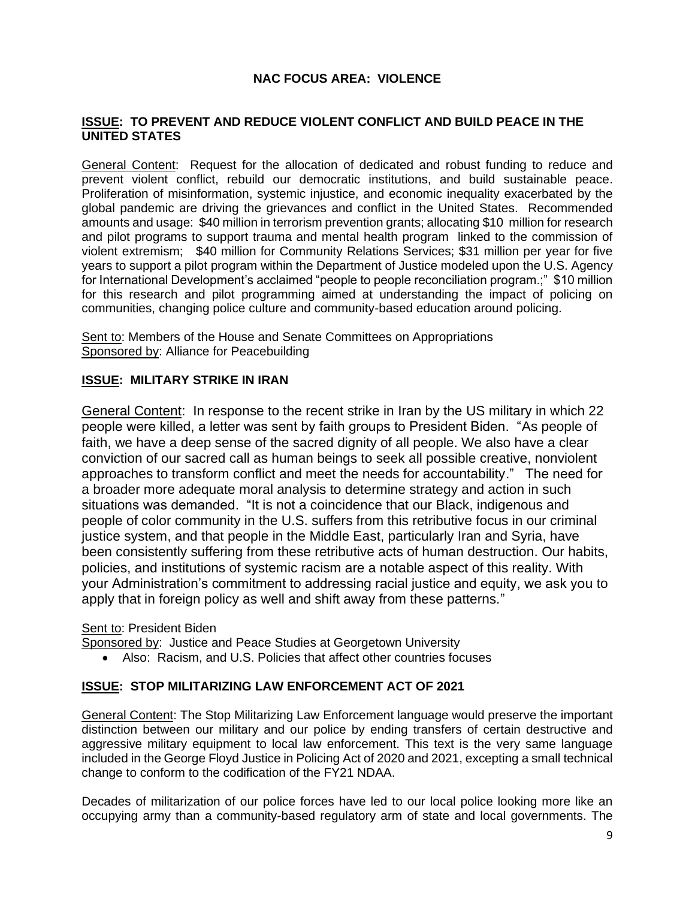## **NAC FOCUS AREA: VIOLENCE**

#### **ISSUE: TO PREVENT AND REDUCE VIOLENT CONFLICT AND BUILD PEACE IN THE UNITED STATES**

General Content: Request for the allocation of dedicated and robust funding to reduce and prevent violent conflict, rebuild our democratic institutions, and build sustainable peace. Proliferation of misinformation, systemic injustice, and economic inequality exacerbated by the global pandemic are driving the grievances and conflict in the United States. Recommended amounts and usage: \$40 million in terrorism prevention grants; allocating \$10 million for research and pilot programs to support trauma and mental health program linked to the commission of violent extremism; \$40 million for Community Relations Services; \$31 million per year for five years to support a pilot program within the Department of Justice modeled upon the U.S. Agency for International Development's acclaimed "people to people reconciliation program.;" \$10 million for this research and pilot programming aimed at understanding the impact of policing on communities, changing police culture and community-based education around policing.

Sent to: Members of the House and Senate Committees on Appropriations Sponsored by: Alliance for Peacebuilding

#### **ISSUE: MILITARY STRIKE IN IRAN**

General Content: In response to the recent strike in Iran by the US military in which 22 people were killed, a letter was sent by faith groups to President Biden. "As people of faith, we have a deep sense of the sacred dignity of all people. We also have a clear conviction of our sacred call as human beings to seek all possible creative, nonviolent approaches to transform conflict and meet the needs for accountability." The need for a broader more adequate moral analysis to determine strategy and action in such situations was demanded. "It is not a coincidence that our Black, indigenous and people of color community in the U.S. suffers from this retributive focus in our criminal justice system, and that people in the Middle East, particularly Iran and Syria, have been consistently suffering from these retributive acts of human destruction. Our habits, policies, and institutions of systemic racism are a notable aspect of this reality. With your Administration's commitment to addressing racial justice and equity, we ask you to apply that in foreign policy as well and shift away from these patterns."

#### Sent to: President Biden

Sponsored by: Justice and Peace Studies at Georgetown University

• Also: Racism, and U.S. Policies that affect other countries focuses

#### **ISSUE: STOP MILITARIZING LAW ENFORCEMENT ACT OF 2021**

General Content: The Stop Militarizing Law Enforcement language would preserve the important distinction between our military and our police by ending transfers of certain destructive and aggressive military equipment to local law enforcement. This text is the very same language included in the George Floyd Justice in Policing Act of 2020 and 2021, excepting a small technical change to conform to the codification of the FY21 NDAA.

Decades of militarization of our police forces have led to our local police looking more like an occupying army than a community-based regulatory arm of state and local governments. The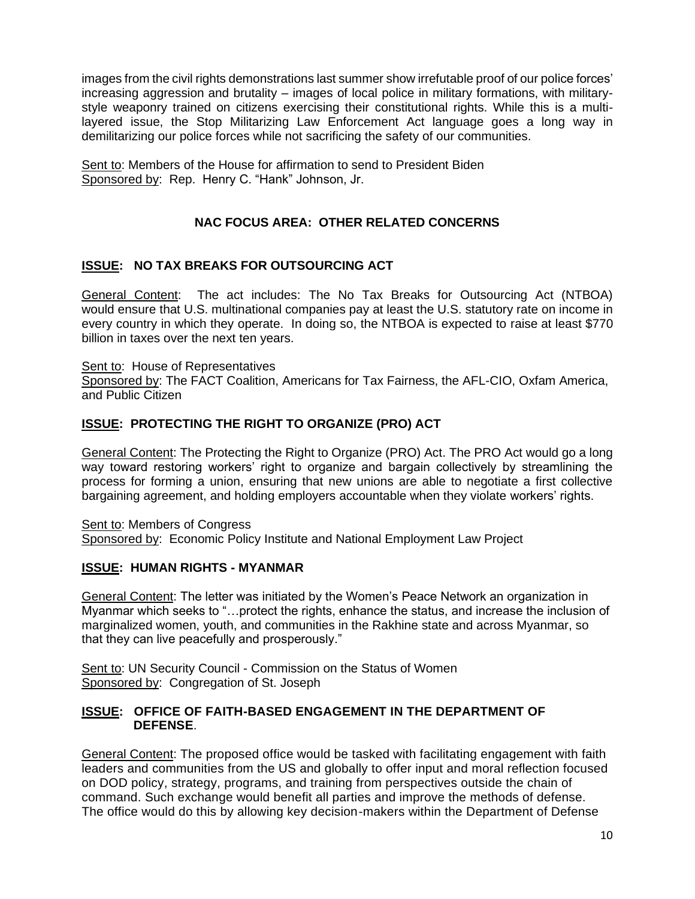images from the civil rights demonstrations last summer show irrefutable proof of our police forces' increasing aggression and brutality – images of local police in military formations, with militarystyle weaponry trained on citizens exercising their constitutional rights. While this is a multilayered issue, the Stop Militarizing Law Enforcement Act language goes a long way in demilitarizing our police forces while not sacrificing the safety of our communities.

Sent to: Members of the House for affirmation to send to President Biden Sponsored by: Rep. Henry C. "Hank" Johnson, Jr.

## **NAC FOCUS AREA: OTHER RELATED CONCERNS**

#### **ISSUE: NO TAX BREAKS FOR OUTSOURCING ACT**

General Content: The act includes: The No Tax Breaks for Outsourcing Act (NTBOA) would ensure that U.S. multinational companies pay at least the U.S. statutory rate on income in every country in which they operate. In doing so, the NTBOA is expected to raise [at least](https://papers.ssrn.com/sol3/papers.cfm?abstract_id=3736287) [\\$770](https://papers.ssrn.com/sol3/papers.cfm?abstract_id=3736287)  [billion](https://papers.ssrn.com/sol3/papers.cfm?abstract_id=3736287) in taxes over the next ten years.

#### Sent to: House of Representatives

Sponsored by: The FACT Coalition, Americans for Tax Fairness, the AFL-CIO, Oxfam America, and Public Citizen

#### **ISSUE: [PROTECTING THE RIGHT TO ORGANIZE \(PRO\) ACT](https://edlabor.house.gov/media/press-releases/top-democrats-introduce-bill-to-protect-workers-right-to-organize-and-make-our-economy-work-for-everyone)**

General Content: The [Protecting the Right to Organize \(PRO\) Act.](https://edlabor.house.gov/media/press-releases/top-democrats-introduce-bill-to-protect-workers-right-to-organize-and-make-our-economy-work-for-everyone) The PRO Act would go a long way toward restoring workers' right to organize and bargain collectively by streamlining the process for forming a union, ensuring that new unions are able to negotiate a first collective bargaining agreement, and holding employers accountable when they violate workers' rights.

Sent to: Members of Congress Sponsored by: Economic Policy Institute and National Employment Law Project

#### **ISSUE: HUMAN RIGHTS - MYANMAR**

General Content: The letter was initiated by the Women's Peace Network an organization in Myanmar which seeks to "…protect the rights, enhance the status, and increase the inclusion of marginalized women, youth, and communities in the Rakhine state and across Myanmar, so that they can live peacefully and prosperously."

Sent to: UN Security Council - Commission on the Status of Women Sponsored by: Congregation of St. Joseph

#### **ISSUE: OFFICE OF FAITH-BASED ENGAGEMENT IN THE DEPARTMENT OF DEFENSE**.

General Content: The proposed office would be tasked with facilitating engagement with faith leaders and communities from the US and globally to offer input and moral reflection focused on DOD policy, strategy, programs, and training from perspectives outside the chain of command. Such exchange would benefit all parties and improve the methods of defense. The office would do this by allowing key decision-makers within the Department of Defense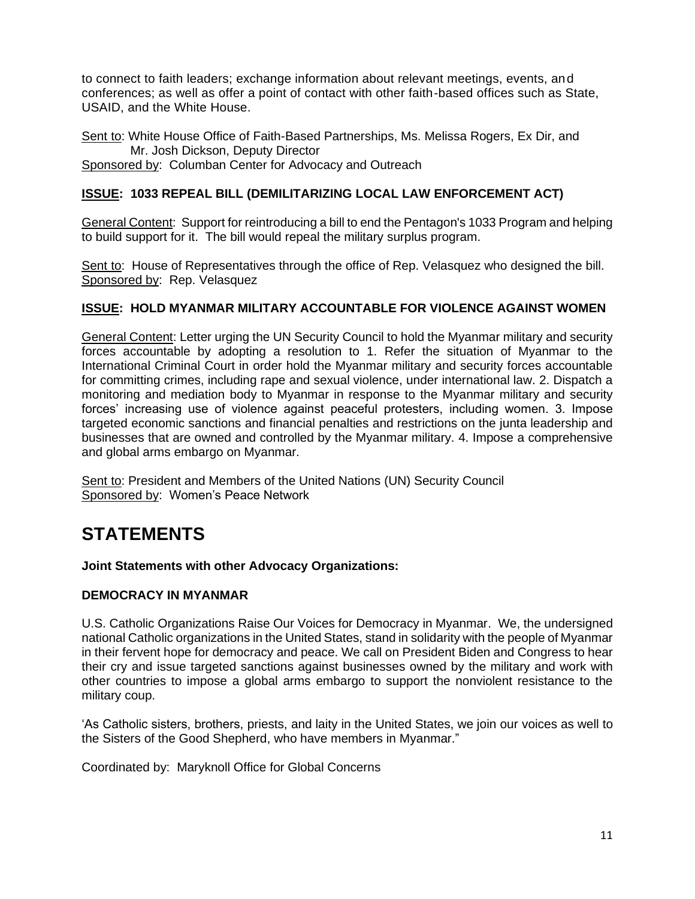to connect to faith leaders; exchange information about relevant meetings, events, and conferences; as well as offer a point of contact with other faith-based offices such as State, USAID, and the White House.

Sent to: White House Office of Faith-Based Partnerships, Ms. Melissa Rogers, Ex Dir, and Mr. Josh Dickson, Deputy Director Sponsored by: Columban Center for Advocacy and Outreach

## **ISSUE: 1033 REPEAL BILL (DEMILITARIZING LOCAL LAW ENFORCEMENT ACT)**

General Content: Support for reintroducing a bill to end the Pentagon's 1033 Program and helping to build support for it. The bill would repeal the military surplus program.

Sent to: House of Representatives through the office of Rep. Velasquez who designed the bill. Sponsored by: Rep. Velasquez

#### **ISSUE: HOLD MYANMAR MILITARY ACCOUNTABLE FOR VIOLENCE AGAINST WOMEN**

General Content: Letter urging the UN Security Council to hold the Myanmar military and security forces accountable by adopting a resolution to 1. Refer the situation of Myanmar to the International Criminal Court in order hold the Myanmar military and security forces accountable for committing crimes, including rape and sexual violence, under international law. 2. Dispatch a monitoring and mediation body to Myanmar in response to the Myanmar military and security forces' increasing use of violence against peaceful protesters, including women. 3. Impose targeted economic sanctions and financial penalties and restrictions on the junta leadership and businesses that are owned and controlled by the Myanmar military. 4. Impose a comprehensive and global arms embargo on Myanmar.

Sent to: President and Members of the United Nations (UN) Security Council Sponsored by: Women's Peace Network

## **STATEMENTS**

#### **Joint Statements with other Advocacy Organizations:**

#### **DEMOCRACY IN MYANMAR**

U.S. Catholic Organizations Raise Our Voices for Democracy in Myanmar. We, the undersigned national Catholic organizations in the United States, stand in solidarity with the people of Myanmar in their fervent hope for democracy and peace. We call on President Biden and Congress to hear their cry and issue targeted sanctions against businesses owned by the military and work with other countries to impose a global arms embargo to support the nonviolent resistance to the military coup.

'As Catholic sisters, brothers, priests, and laity in the United States, we join our voices as well to the Sisters of the Good Shepherd, who have members in Myanmar."

Coordinated by: Maryknoll Office for Global Concerns